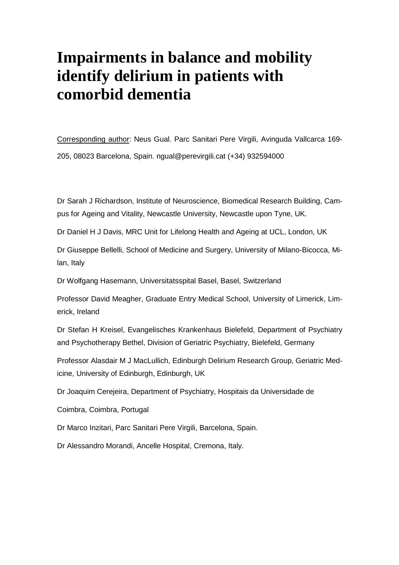# **Impairments in balance and mobility identify delirium in patients with comorbid dementia**

Corresponding author: Neus Gual. Parc Sanitari Pere Virgili, Avinguda Vallcarca 169- 205, 08023 Barcelona, Spain. [ngual@perevirgili.cat](mailto:ngual@perevirgili.cat) (+34) 932594000

Dr Sarah J Richardson, Institute of Neuroscience, Biomedical Research Building, Campus for Ageing and Vitality, Newcastle University, Newcastle upon Tyne, UK.

Dr Daniel H J Davis, MRC Unit for Lifelong Health and Ageing at UCL, London, UK

Dr Giuseppe Bellelli, School of Medicine and Surgery, University of Milano-Bicocca, Milan, Italy

Dr Wolfgang Hasemann, Universitatsspital Basel, Basel, Switzerland

Professor David Meagher, Graduate Entry Medical School, University of Limerick, Limerick, Ireland

Dr Stefan H Kreisel, Evangelisches Krankenhaus Bielefeld, Department of Psychiatry and Psychotherapy Bethel, Division of Geriatric Psychiatry, Bielefeld, Germany

Professor Alasdair M J MacLullich, Edinburgh Delirium Research Group, Geriatric Medicine, University of Edinburgh, Edinburgh, UK

Dr Joaquim Cerejeira, Department of Psychiatry, Hospitais da Universidade de

Coimbra, Coimbra, Portugal

Dr Marco Inzitari, Parc Sanitari Pere Virgili, Barcelona, Spain.

Dr Alessandro Morandi, Ancelle Hospital, Cremona, Italy.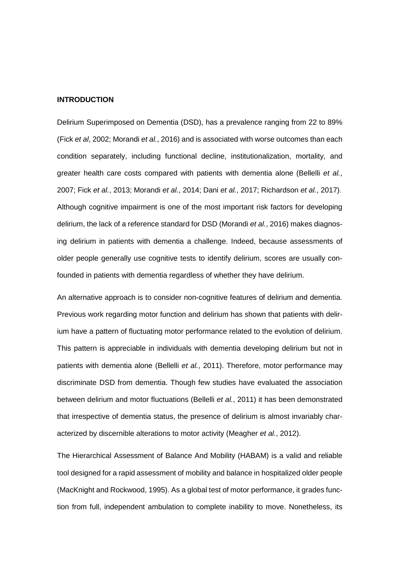#### **INTRODUCTION**

Delirium Superimposed on Dementia (DSD), has a prevalence ranging from 22 to 89% (Fick *et al*, 2002; Morandi *et al.*, 2016) and is associated with worse outcomes than each condition separately, including functional decline, institutionalization, mortality, and greater health care costs compared with patients with dementia alone (Bellelli *et al.*, 2007; Fick *et al.*, 2013; Morandi *et al.*, 2014; Dani *et al.*, 2017; Richardson *et al.*, 2017). Although cognitive impairment is one of the most important risk factors for developing delirium, the lack of a reference standard for DSD (Morandi *et al.*, 2016) makes diagnosing delirium in patients with dementia a challenge. Indeed, because assessments of older people generally use cognitive tests to identify delirium, scores are usually confounded in patients with dementia regardless of whether they have delirium.

An alternative approach is to consider non-cognitive features of delirium and dementia. Previous work regarding motor function and delirium has shown that patients with delirium have a pattern of fluctuating motor performance related to the evolution of delirium. This pattern is appreciable in individuals with dementia developing delirium but not in patients with dementia alone (Bellelli *et al.*, 2011). Therefore, motor performance may discriminate DSD from dementia. Though few studies have evaluated the association between delirium and motor fluctuations (Bellelli *et al.*, 2011) it has been demonstrated that irrespective of dementia status, the presence of delirium is almost invariably characterized by discernible alterations to motor activity (Meagher *et al.*, 2012).

The Hierarchical Assessment of Balance And Mobility (HABAM) is a valid and reliable tool designed for a rapid assessment of mobility and balance in hospitalized older people (MacKnight and Rockwood, 1995). As a global test of motor performance, it grades function from full, independent ambulation to complete inability to move. Nonetheless, its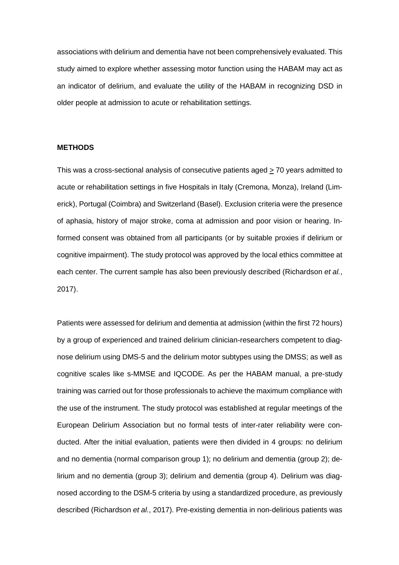associations with delirium and dementia have not been comprehensively evaluated. This study aimed to explore whether assessing motor function using the HABAM may act as an indicator of delirium, and evaluate the utility of the HABAM in recognizing DSD in older people at admission to acute or rehabilitation settings.

#### **METHODS**

This was a cross-sectional analysis of consecutive patients aged  $\geq$  70 years admitted to acute or rehabilitation settings in five Hospitals in Italy (Cremona, Monza), Ireland (Limerick), Portugal (Coimbra) and Switzerland (Basel). Exclusion criteria were the presence of aphasia, history of major stroke, coma at admission and poor vision or hearing. Informed consent was obtained from all participants (or by suitable proxies if delirium or cognitive impairment). The study protocol was approved by the local ethics committee at each center. The current sample has also been previously described (Richardson *et al.*, 2017).

Patients were assessed for delirium and dementia at admission (within the first 72 hours) by a group of experienced and trained delirium clinician-researchers competent to diagnose delirium using DMS-5 and the delirium motor subtypes using the DMSS; as well as cognitive scales like s-MMSE and IQCODE. As per the HABAM manual, a pre-study training was carried out for those professionals to achieve the maximum compliance with the use of the instrument. The study protocol was established at regular meetings of the European Delirium Association but no formal tests of inter-rater reliability were conducted. After the initial evaluation, patients were then divided in 4 groups: no delirium and no dementia (normal comparison group 1); no delirium and dementia (group 2); delirium and no dementia (group 3); delirium and dementia (group 4). Delirium was diagnosed according to the DSM-5 criteria by using a standardized procedure, as previously described (Richardson *et al.*, 2017). Pre-existing dementia in non-delirious patients was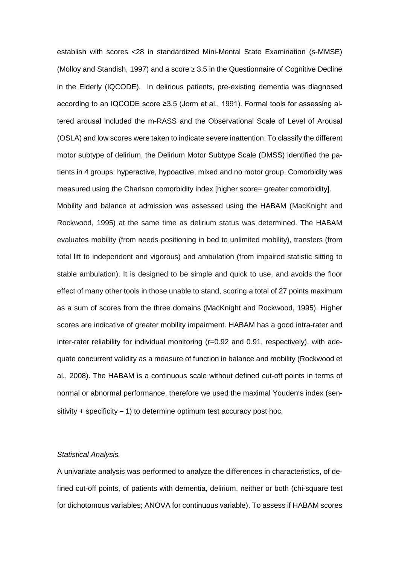establish with scores <28 in standardized Mini-Mental State Examination (s-MMSE) (Molloy and Standish, 1997) and a score  $\geq 3.5$  in the Questionnaire of Cognitive Decline in the Elderly (IQCODE). In delirious patients, pre-existing dementia was diagnosed according to an IQCODE score ≥3.5 (Jorm et al., 1991). Formal tools for assessing altered arousal included the m-RASS and the Observational Scale of Level of Arousal (OSLA) and low scores were taken to indicate severe inattention. To classify the different motor subtype of delirium, the Delirium Motor Subtype Scale (DMSS) identified the patients in 4 groups: hyperactive, hypoactive, mixed and no motor group. Comorbidity was measured using the Charlson comorbidity index [higher score= greater comorbidity]. Mobility and balance at admission was assessed using the HABAM (MacKnight and Rockwood, 1995) at the same time as delirium status was determined. The HABAM evaluates mobility (from needs positioning in bed to unlimited mobility), transfers (from total lift to independent and vigorous) and ambulation (from impaired statistic sitting to stable ambulation). It is designed to be simple and quick to use, and avoids the floor effect of many other tools in those unable to stand, scoring a total of 27 points maximum as a sum of scores from the three domains (MacKnight and Rockwood, 1995). Higher scores are indicative of greater mobility impairment. HABAM has a good intra-rater and inter-rater reliability for individual monitoring (r=0.92 and 0.91, respectively), with adequate concurrent validity as a measure of function in balance and mobility (Rockwood et al., 2008). The HABAM is a continuous scale without defined cut-off points in terms of normal or abnormal performance, therefore we used the maximal Youden's index (sensitivity  $+$  specificity  $-1$ ) to determine optimum test accuracy post hoc.

## *Statistical Analysis.*

A univariate analysis was performed to analyze the differences in characteristics, of defined cut-off points, of patients with dementia, delirium, neither or both (chi-square test for dichotomous variables; ANOVA for continuous variable). To assess if HABAM scores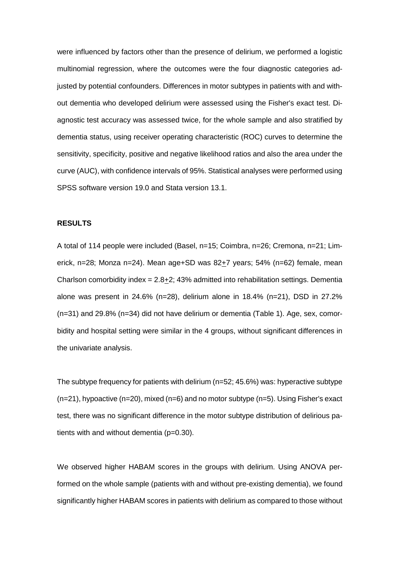were influenced by factors other than the presence of delirium, we performed a logistic multinomial regression, where the outcomes were the four diagnostic categories adjusted by potential confounders. Differences in motor subtypes in patients with and without dementia who developed delirium were assessed using the Fisher's exact test. Diagnostic test accuracy was assessed twice, for the whole sample and also stratified by dementia status, using receiver operating characteristic (ROC) curves to determine the sensitivity, specificity, positive and negative likelihood ratios and also the area under the curve (AUC), with confidence intervals of 95%. Statistical analyses were performed using SPSS software version 19.0 and Stata version 13.1.

# **RESULTS**

A total of 114 people were included (Basel, n=15; Coimbra, n=26; Cremona, n=21; Limerick, n=28; Monza n=24). Mean age+SD was  $82+7$  years; 54% (n=62) female, mean Charlson comorbidity index  $= 2.8 + 2$ ; 43% admitted into rehabilitation settings. Dementia alone was present in  $24.6\%$  (n=28), delirium alone in  $18.4\%$  (n=21), DSD in  $27.2\%$ (n=31) and 29.8% (n=34) did not have delirium or dementia (Table 1). Age, sex, comorbidity and hospital setting were similar in the 4 groups, without significant differences in the univariate analysis.

The subtype frequency for patients with delirium (n=52; 45.6%) was: hyperactive subtype  $(n=21)$ , hypoactive  $(n=20)$ , mixed  $(n=6)$  and no motor subtype  $(n=5)$ . Using Fisher's exact test, there was no significant difference in the motor subtype distribution of delirious patients with and without dementia (p=0.30).

We observed higher HABAM scores in the groups with delirium. Using ANOVA performed on the whole sample (patients with and without pre-existing dementia), we found significantly higher HABAM scores in patients with delirium as compared to those without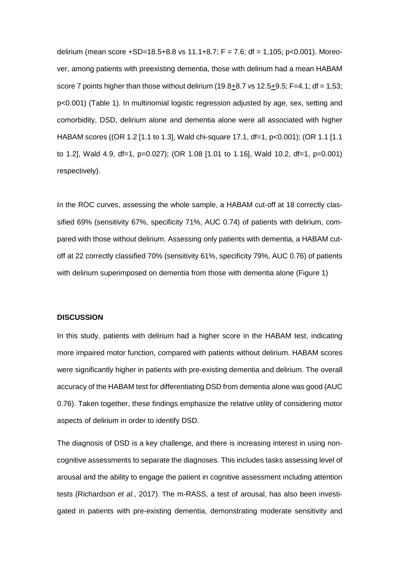delirium (mean score +SD=18.5+8.8 vs 11.1+8.7; F = 7.6; df = 1,105; p<0.001). Moreover, among patients with preexisting dementia, those with delirium had a mean HABAM score 7 points higher than those without delirium  $(19.8+8.7 \text{ vs } 12.5+9.5; F=4.1; df=1.53;$ p<0.001) (Table 1). In multinomial logistic regression adjusted by age, sex, setting and comorbidity, DSD, delirium alone and dementia alone were all associated with higher HABAM scores ((OR 1.2 [1.1 to 1.3], Wald chi-square 17.1, df=1, p<0.001); (OR 1.1 [1.1 to 1.2], Wald 4.9, df=1, p=0.027); (OR 1.08 [1.01 to 1.16], Wald 10.2, df=1, p=0.001) respectively).

In the ROC curves, assessing the whole sample, a HABAM cut-off at 18 correctly classified 69% (sensitivity 67%, specificity 71%, AUC 0.74) of patients with delirium, compared with those without delirium. Assessing only patients with dementia, a HABAM cutoff at 22 correctly classified 70% (sensitivity 61%, specificity 79%, AUC 0.76) of patients with delirium superimposed on dementia from those with dementia alone (Figure 1)

#### **DISCUSSION**

In this study, patients with delirium had a higher score in the HABAM test, indicating more impaired motor function, compared with patients without delirium. HABAM scores were significantly higher in patients with pre-existing dementia and delirium. The overall accuracy of the HABAM test for differentiating DSD from dementia alone was good (AUC 0.76). Taken together, these findings emphasize the relative utility of considering motor aspects of delirium in order to identify DSD.

The diagnosis of DSD is a key challenge, and there is increasing interest in using noncognitive assessments to separate the diagnoses. This includes tasks assessing level of arousal and the ability to engage the patient in cognitive assessment including attention tests (Richardson *et al.*, 2017). The m-RASS, a test of arousal, has also been investigated in patients with pre-existing dementia, demonstrating moderate sensitivity and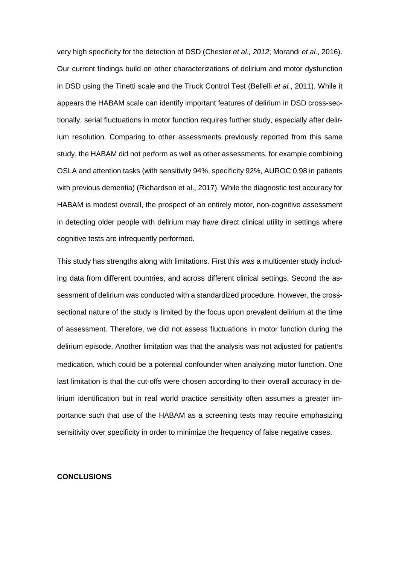very high specificity for the detection of DSD (Chester *et al., 2012*; Morandi *et al.*, 2016). Our current findings build on other characterizations of delirium and motor dysfunction in DSD using the Tinetti scale and the Truck Control Test (Bellelli *et al.*, 2011). While it appears the HABAM scale can identify important features of delirium in DSD cross-sectionally, serial fluctuations in motor function requires further study, especially after delirium resolution. Comparing to other assessments previously reported from this same study, the HABAM did not perform as well as other assessments, for example combining OSLA and attention tasks (with sensitivity 94%, specificity 92%, AUROC 0.98 in patients with previous dementia) (Richardson et al., 2017). While the diagnostic test accuracy for HABAM is modest overall, the prospect of an entirely motor, non-cognitive assessment in detecting older people with delirium may have direct clinical utility in settings where cognitive tests are infrequently performed.

This study has strengths along with limitations. First this was a multicenter study including data from different countries, and across different clinical settings. Second the assessment of delirium was conducted with a standardized procedure. However, the crosssectional nature of the study is limited by the focus upon prevalent delirium at the time of assessment. Therefore, we did not assess fluctuations in motor function during the delirium episode. Another limitation was that the analysis was not adjusted for patient's medication, which could be a potential confounder when analyzing motor function. One last limitation is that the cut-offs were chosen according to their overall accuracy in delirium identification but in real world practice sensitivity often assumes a greater importance such that use of the HABAM as a screening tests may require emphasizing sensitivity over specificity in order to minimize the frequency of false negative cases.

#### **CONCLUSIONS**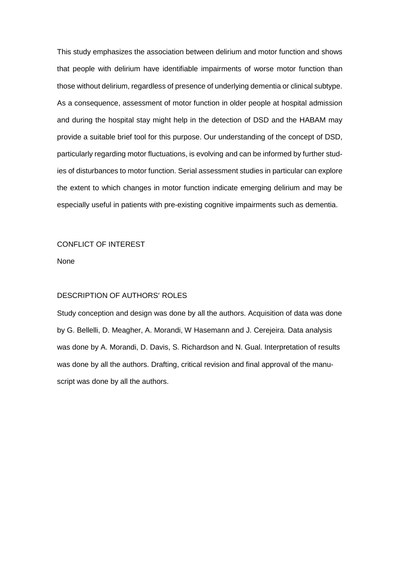This study emphasizes the association between delirium and motor function and shows that people with delirium have identifiable impairments of worse motor function than those without delirium, regardless of presence of underlying dementia or clinical subtype. As a consequence, assessment of motor function in older people at hospital admission and during the hospital stay might help in the detection of DSD and the HABAM may provide a suitable brief tool for this purpose. Our understanding of the concept of DSD, particularly regarding motor fluctuations, is evolving and can be informed by further studies of disturbances to motor function. Serial assessment studies in particular can explore the extent to which changes in motor function indicate emerging delirium and may be especially useful in patients with pre-existing cognitive impairments such as dementia.

# CONFLICT OF INTEREST

None

## DESCRIPTION OF AUTHORS' ROLES

Study conception and design was done by all the authors. Acquisition of data was done by G. Bellelli, D. Meagher, A. Morandi, W Hasemann and J. Cerejeira. Data analysis was done by A. Morandi, D. Davis, S. Richardson and N. Gual. Interpretation of results was done by all the authors. Drafting, critical revision and final approval of the manuscript was done by all the authors.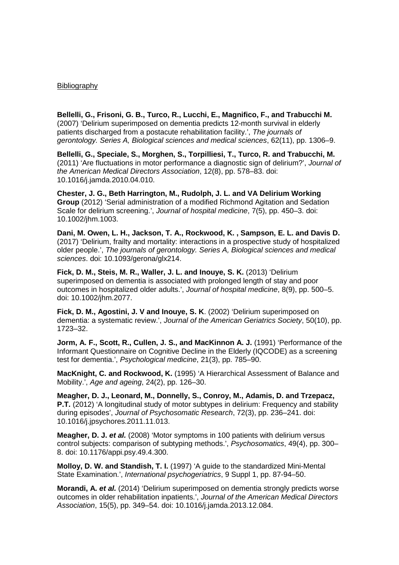## Bibliography

**Bellelli, G., Frisoni, G. B., Turco, R., Lucchi, E., Magnifico, F., and Trabucchi M.** (2007) 'Delirium superimposed on dementia predicts 12-month survival in elderly patients discharged from a postacute rehabilitation facility.', *The journals of gerontology. Series A, Biological sciences and medical sciences*, 62(11), pp. 1306–9.

**Bellelli, G., Speciale, S., Morghen, S., Torpilliesi, T., Turco, R. and Trabucchi, M.**  (2011) 'Are fluctuations in motor performance a diagnostic sign of delirium?', *Journal of the American Medical Directors Association*, 12(8), pp. 578–83. doi: 10.1016/j.jamda.2010.04.010.

**Chester, J. G., Beth Harrington, M., Rudolph, J. L. and VA Delirium Working Group** (2012) 'Serial administration of a modified Richmond Agitation and Sedation Scale for delirium screening.', *Journal of hospital medicine*, 7(5), pp. 450–3. doi: 10.1002/jhm.1003.

**Dani, M. Owen, L. H., Jackson, T. A., Rockwood, K. , Sampson, E. L. and Davis D.** (2017) 'Delirium, frailty and mortality: interactions in a prospective study of hospitalized older people.', *The journals of gerontology. Series A, Biological sciences and medical sciences*. doi: 10.1093/gerona/glx214.

**Fick, D. M., Steis, M. R., Waller, J. L. and Inouye, S. K.** (2013) 'Delirium superimposed on dementia is associated with prolonged length of stay and poor outcomes in hospitalized older adults.', *Journal of hospital medicine*, 8(9), pp. 500–5. doi: 10.1002/jhm.2077.

**Fick, D. M., Agostini, J. V and Inouye, S. K**. (2002) 'Delirium superimposed on dementia: a systematic review.', *Journal of the American Geriatrics Society*, 50(10), pp. 1723–32.

**Jorm, A. F., Scott, R., Cullen, J. S., and MacKinnon A. J.** (1991) 'Performance of the Informant Questionnaire on Cognitive Decline in the Elderly (IQCODE) as a screening test for dementia.', *Psychological medicine*, 21(3), pp. 785–90.

**MacKnight, C. and Rockwood, K.** (1995) 'A Hierarchical Assessment of Balance and Mobility.', *Age and ageing*, 24(2), pp. 126–30.

**Meagher, D. J., Leonard, M., Donnelly, S., Conroy, M., Adamis, D. and Trzepacz, P.T.** (2012) 'A longitudinal study of motor subtypes in delirium: Frequency and stability during episodes', *Journal of Psychosomatic Research*, 72(3), pp. 236–241. doi: 10.1016/j.jpsychores.2011.11.013.

**Meagher, D. J.** *et al.* (2008) 'Motor symptoms in 100 patients with delirium versus control subjects: comparison of subtyping methods.', *Psychosomatics*, 49(4), pp. 300– 8. doi: 10.1176/appi.psy.49.4.300.

**Molloy, D. W. and Standish, T. I.** (1997) 'A guide to the standardized Mini-Mental State Examination.', *International psychogeriatrics*, 9 Suppl 1, pp. 87-94–50.

**Morandi, A.** *et al.* (2014) 'Delirium superimposed on dementia strongly predicts worse outcomes in older rehabilitation inpatients.', *Journal of the American Medical Directors Association*, 15(5), pp. 349–54. doi: 10.1016/j.jamda.2013.12.084.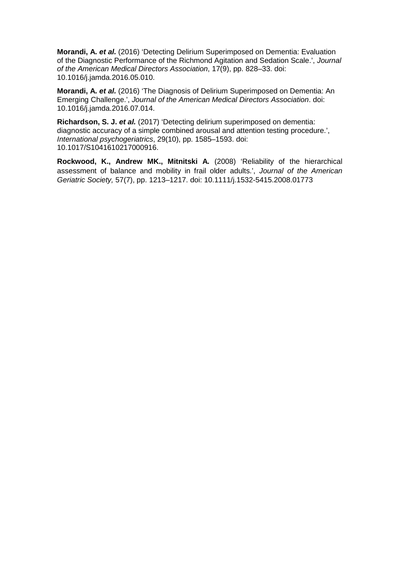**Morandi, A.** *et al.* (2016) 'Detecting Delirium Superimposed on Dementia: Evaluation of the Diagnostic Performance of the Richmond Agitation and Sedation Scale.', *Journal of the American Medical Directors Association*, 17(9), pp. 828–33. doi: 10.1016/j.jamda.2016.05.010.

**Morandi, A.** *et al.* (2016) 'The Diagnosis of Delirium Superimposed on Dementia: An Emerging Challenge.', *Journal of the American Medical Directors Association*. doi: 10.1016/j.jamda.2016.07.014.

**Richardson, S. J.** *et al.* (2017) 'Detecting delirium superimposed on dementia: diagnostic accuracy of a simple combined arousal and attention testing procedure.', *International psychogeriatrics*, 29(10), pp. 1585–1593. doi: 10.1017/S1041610217000916.

**Rockwood, K., Andrew MK., Mitnitski A***.* (2008) 'Reliability of the hierarchical assessment of balance and mobility in frail older adults.', *Journal of the American Geriatric Society,* 57(7), pp. 1213–1217. doi: 10.1111/j.1532-5415.2008.01773